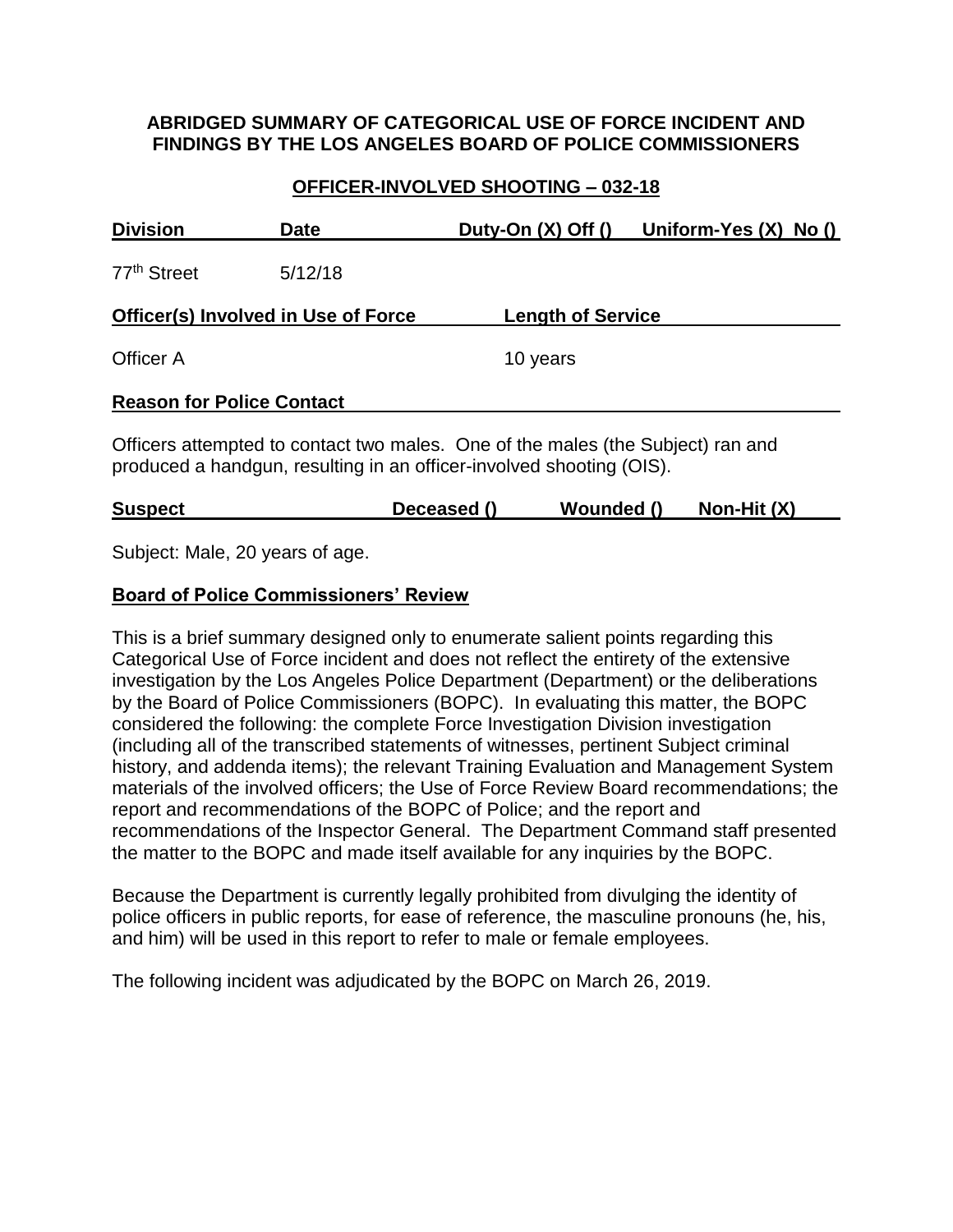### **ABRIDGED SUMMARY OF CATEGORICAL USE OF FORCE INCIDENT AND FINDINGS BY THE LOS ANGELES BOARD OF POLICE COMMISSIONERS**

## **OFFICER-INVOLVED SHOOTING – 032-18**

| <b>Division</b>                     | <b>Date</b> | Duty-On $(X)$ Off $()$                                                                                                                                  | Uniform-Yes $(X)$ No $()$ |
|-------------------------------------|-------------|---------------------------------------------------------------------------------------------------------------------------------------------------------|---------------------------|
| 77 <sup>th</sup> Street             | 5/12/18     |                                                                                                                                                         |                           |
| Officer(s) Involved in Use of Force |             | <b>Length of Service</b>                                                                                                                                |                           |
| Officer A                           |             | 10 years                                                                                                                                                |                           |
| <b>Reason for Police Contact</b>    |             |                                                                                                                                                         |                           |
|                                     |             | Officers attempted to contact two males. One of the males (the Subject) ran and<br>produced a handgun, resulting in an officer-involved shooting (OIS). |                           |

Subject: Male, 20 years of age.

### **Board of Police Commissioners' Review**

This is a brief summary designed only to enumerate salient points regarding this Categorical Use of Force incident and does not reflect the entirety of the extensive investigation by the Los Angeles Police Department (Department) or the deliberations by the Board of Police Commissioners (BOPC). In evaluating this matter, the BOPC considered the following: the complete Force Investigation Division investigation (including all of the transcribed statements of witnesses, pertinent Subject criminal history, and addenda items); the relevant Training Evaluation and Management System materials of the involved officers; the Use of Force Review Board recommendations; the report and recommendations of the BOPC of Police; and the report and recommendations of the Inspector General. The Department Command staff presented the matter to the BOPC and made itself available for any inquiries by the BOPC.

Because the Department is currently legally prohibited from divulging the identity of police officers in public reports, for ease of reference, the masculine pronouns (he, his, and him) will be used in this report to refer to male or female employees.

The following incident was adjudicated by the BOPC on March 26, 2019.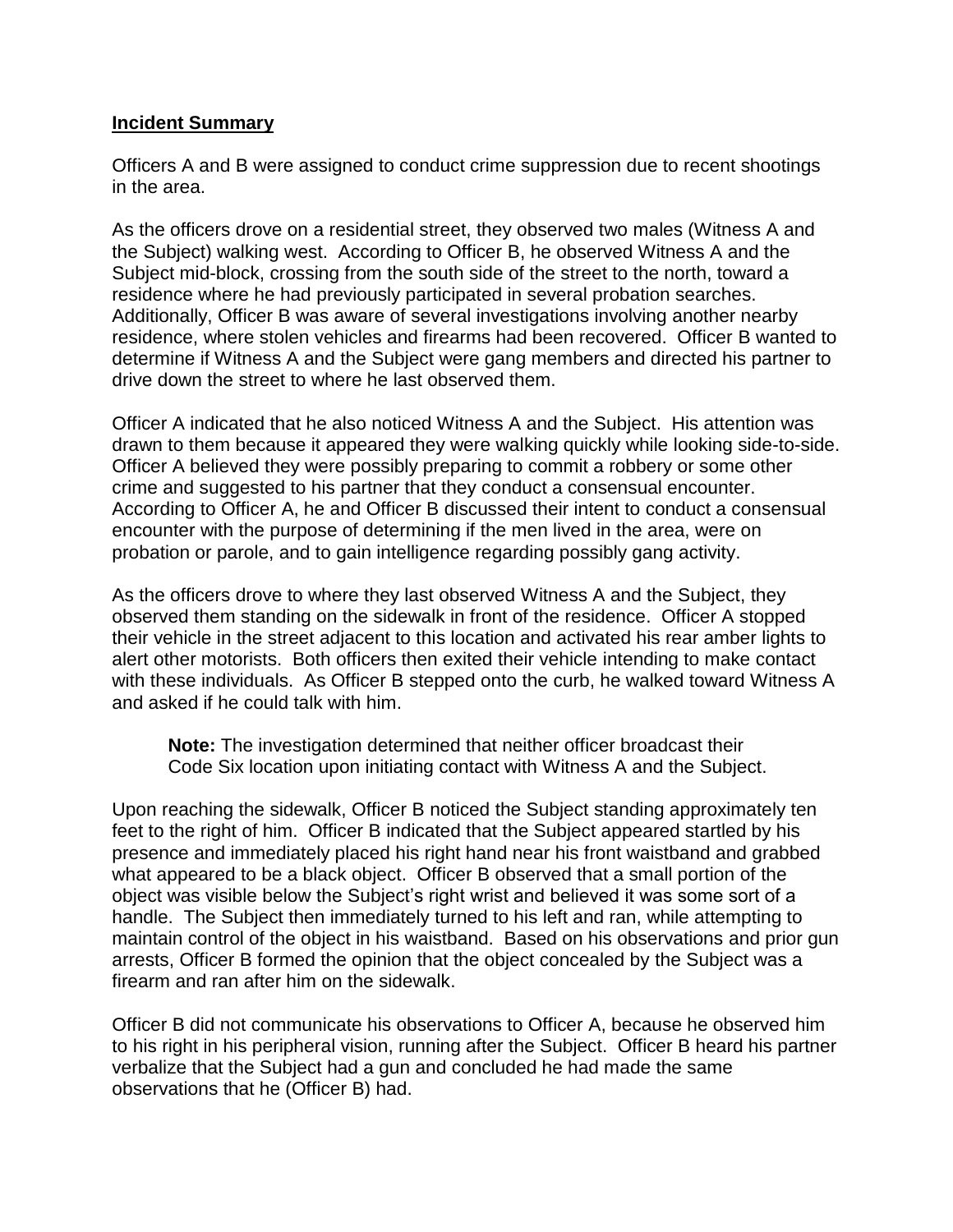#### **Incident Summary**

Officers A and B were assigned to conduct crime suppression due to recent shootings in the area.

As the officers drove on a residential street, they observed two males (Witness A and the Subject) walking west. According to Officer B, he observed Witness A and the Subject mid-block, crossing from the south side of the street to the north, toward a residence where he had previously participated in several probation searches. Additionally, Officer B was aware of several investigations involving another nearby residence, where stolen vehicles and firearms had been recovered. Officer B wanted to determine if Witness A and the Subject were gang members and directed his partner to drive down the street to where he last observed them.

Officer A indicated that he also noticed Witness A and the Subject. His attention was drawn to them because it appeared they were walking quickly while looking side-to-side. Officer A believed they were possibly preparing to commit a robbery or some other crime and suggested to his partner that they conduct a consensual encounter. According to Officer A, he and Officer B discussed their intent to conduct a consensual encounter with the purpose of determining if the men lived in the area, were on probation or parole, and to gain intelligence regarding possibly gang activity.

As the officers drove to where they last observed Witness A and the Subject, they observed them standing on the sidewalk in front of the residence. Officer A stopped their vehicle in the street adjacent to this location and activated his rear amber lights to alert other motorists. Both officers then exited their vehicle intending to make contact with these individuals. As Officer B stepped onto the curb, he walked toward Witness A and asked if he could talk with him.

**Note:** The investigation determined that neither officer broadcast their Code Six location upon initiating contact with Witness A and the Subject.

Upon reaching the sidewalk, Officer B noticed the Subject standing approximately ten feet to the right of him. Officer B indicated that the Subject appeared startled by his presence and immediately placed his right hand near his front waistband and grabbed what appeared to be a black object. Officer B observed that a small portion of the object was visible below the Subject's right wrist and believed it was some sort of a handle. The Subject then immediately turned to his left and ran, while attempting to maintain control of the object in his waistband. Based on his observations and prior gun arrests, Officer B formed the opinion that the object concealed by the Subject was a firearm and ran after him on the sidewalk.

Officer B did not communicate his observations to Officer A, because he observed him to his right in his peripheral vision, running after the Subject. Officer B heard his partner verbalize that the Subject had a gun and concluded he had made the same observations that he (Officer B) had.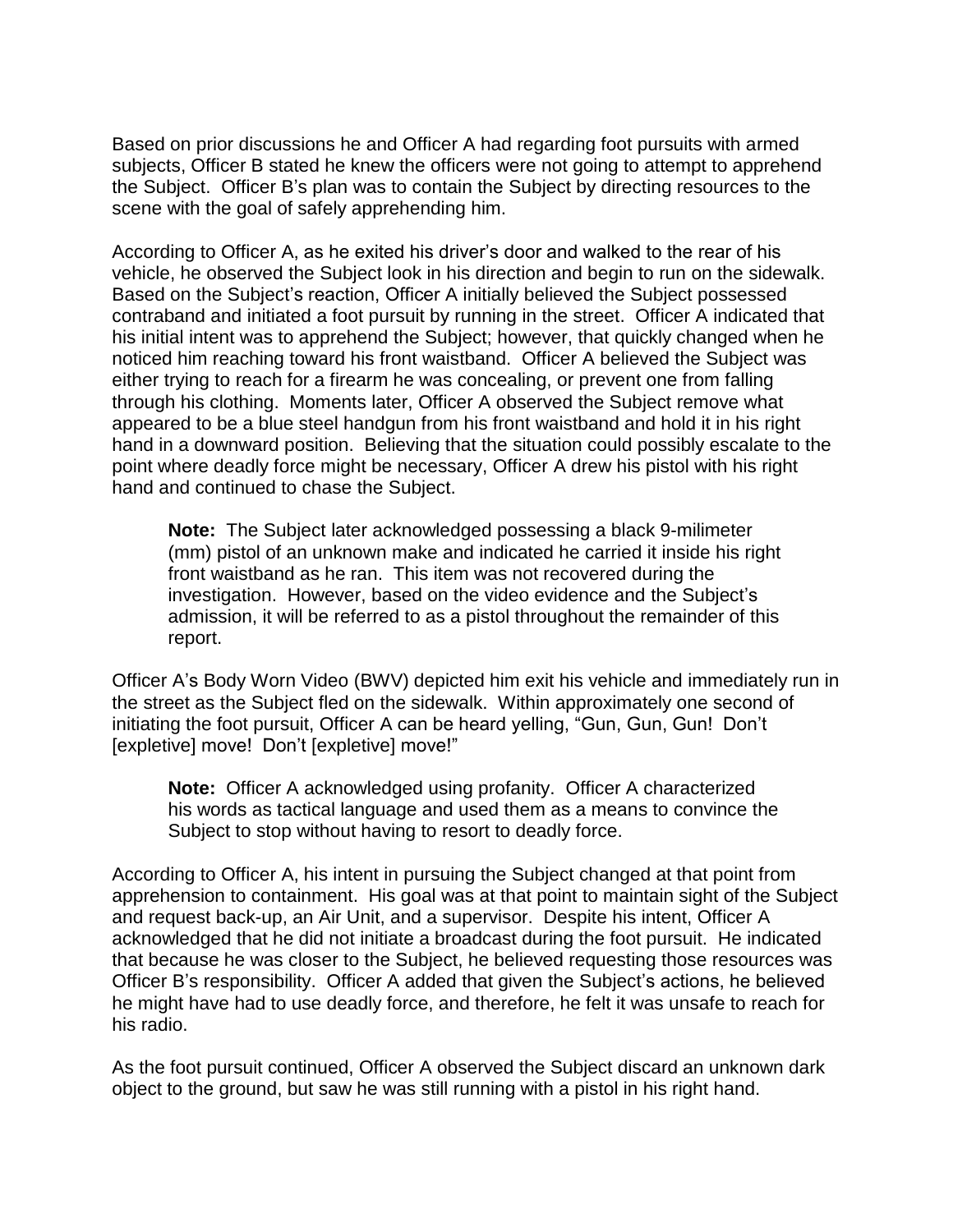Based on prior discussions he and Officer A had regarding foot pursuits with armed subjects, Officer B stated he knew the officers were not going to attempt to apprehend the Subject. Officer B's plan was to contain the Subject by directing resources to the scene with the goal of safely apprehending him.

According to Officer A, as he exited his driver's door and walked to the rear of his vehicle, he observed the Subject look in his direction and begin to run on the sidewalk. Based on the Subject's reaction, Officer A initially believed the Subject possessed contraband and initiated a foot pursuit by running in the street. Officer A indicated that his initial intent was to apprehend the Subject; however, that quickly changed when he noticed him reaching toward his front waistband. Officer A believed the Subject was either trying to reach for a firearm he was concealing, or prevent one from falling through his clothing. Moments later, Officer A observed the Subject remove what appeared to be a blue steel handgun from his front waistband and hold it in his right hand in a downward position. Believing that the situation could possibly escalate to the point where deadly force might be necessary, Officer A drew his pistol with his right hand and continued to chase the Subject.

**Note:** The Subject later acknowledged possessing a black 9-milimeter (mm) pistol of an unknown make and indicated he carried it inside his right front waistband as he ran. This item was not recovered during the investigation. However, based on the video evidence and the Subject's admission, it will be referred to as a pistol throughout the remainder of this report.

Officer A's Body Worn Video (BWV) depicted him exit his vehicle and immediately run in the street as the Subject fled on the sidewalk. Within approximately one second of initiating the foot pursuit, Officer A can be heard yelling, "Gun, Gun, Gun! Don't [expletive] move! Don't [expletive] move!"

**Note:** Officer A acknowledged using profanity. Officer A characterized his words as tactical language and used them as a means to convince the Subject to stop without having to resort to deadly force.

According to Officer A, his intent in pursuing the Subject changed at that point from apprehension to containment. His goal was at that point to maintain sight of the Subject and request back-up, an Air Unit, and a supervisor. Despite his intent, Officer A acknowledged that he did not initiate a broadcast during the foot pursuit. He indicated that because he was closer to the Subject, he believed requesting those resources was Officer B's responsibility. Officer A added that given the Subject's actions, he believed he might have had to use deadly force, and therefore, he felt it was unsafe to reach for his radio.

As the foot pursuit continued, Officer A observed the Subject discard an unknown dark object to the ground, but saw he was still running with a pistol in his right hand.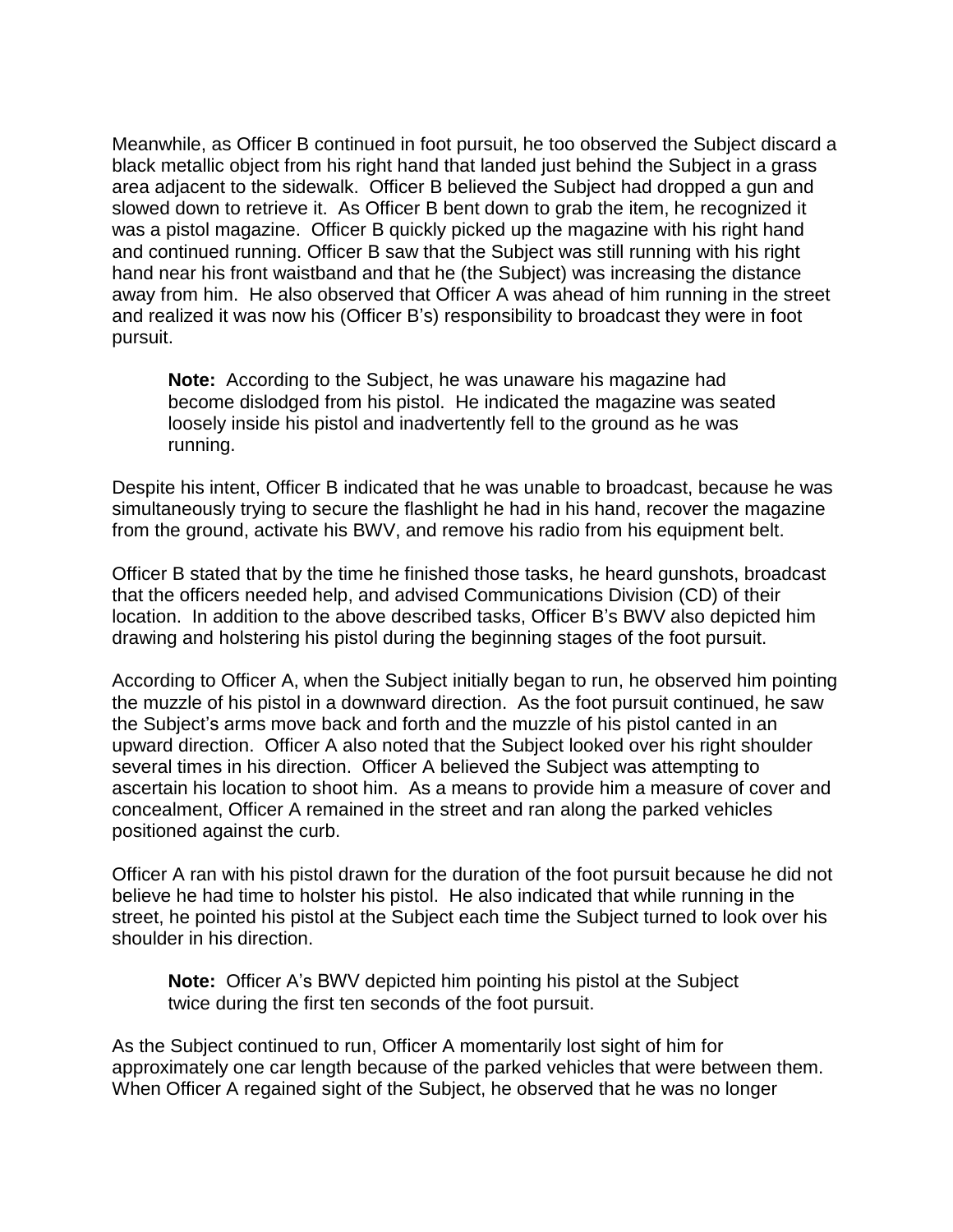Meanwhile, as Officer B continued in foot pursuit, he too observed the Subject discard a black metallic object from his right hand that landed just behind the Subject in a grass area adjacent to the sidewalk. Officer B believed the Subject had dropped a gun and slowed down to retrieve it. As Officer B bent down to grab the item, he recognized it was a pistol magazine. Officer B quickly picked up the magazine with his right hand and continued running. Officer B saw that the Subject was still running with his right hand near his front waistband and that he (the Subject) was increasing the distance away from him. He also observed that Officer A was ahead of him running in the street and realized it was now his (Officer B's) responsibility to broadcast they were in foot pursuit.

**Note:** According to the Subject, he was unaware his magazine had become dislodged from his pistol. He indicated the magazine was seated loosely inside his pistol and inadvertently fell to the ground as he was running.

Despite his intent, Officer B indicated that he was unable to broadcast, because he was simultaneously trying to secure the flashlight he had in his hand, recover the magazine from the ground, activate his BWV, and remove his radio from his equipment belt.

Officer B stated that by the time he finished those tasks, he heard gunshots, broadcast that the officers needed help, and advised Communications Division (CD) of their location. In addition to the above described tasks, Officer B's BWV also depicted him drawing and holstering his pistol during the beginning stages of the foot pursuit.

According to Officer A, when the Subject initially began to run, he observed him pointing the muzzle of his pistol in a downward direction. As the foot pursuit continued, he saw the Subject's arms move back and forth and the muzzle of his pistol canted in an upward direction. Officer A also noted that the Subject looked over his right shoulder several times in his direction. Officer A believed the Subject was attempting to ascertain his location to shoot him. As a means to provide him a measure of cover and concealment, Officer A remained in the street and ran along the parked vehicles positioned against the curb.

Officer A ran with his pistol drawn for the duration of the foot pursuit because he did not believe he had time to holster his pistol. He also indicated that while running in the street, he pointed his pistol at the Subject each time the Subject turned to look over his shoulder in his direction.

**Note:** Officer A's BWV depicted him pointing his pistol at the Subject twice during the first ten seconds of the foot pursuit.

As the Subject continued to run, Officer A momentarily lost sight of him for approximately one car length because of the parked vehicles that were between them. When Officer A regained sight of the Subject, he observed that he was no longer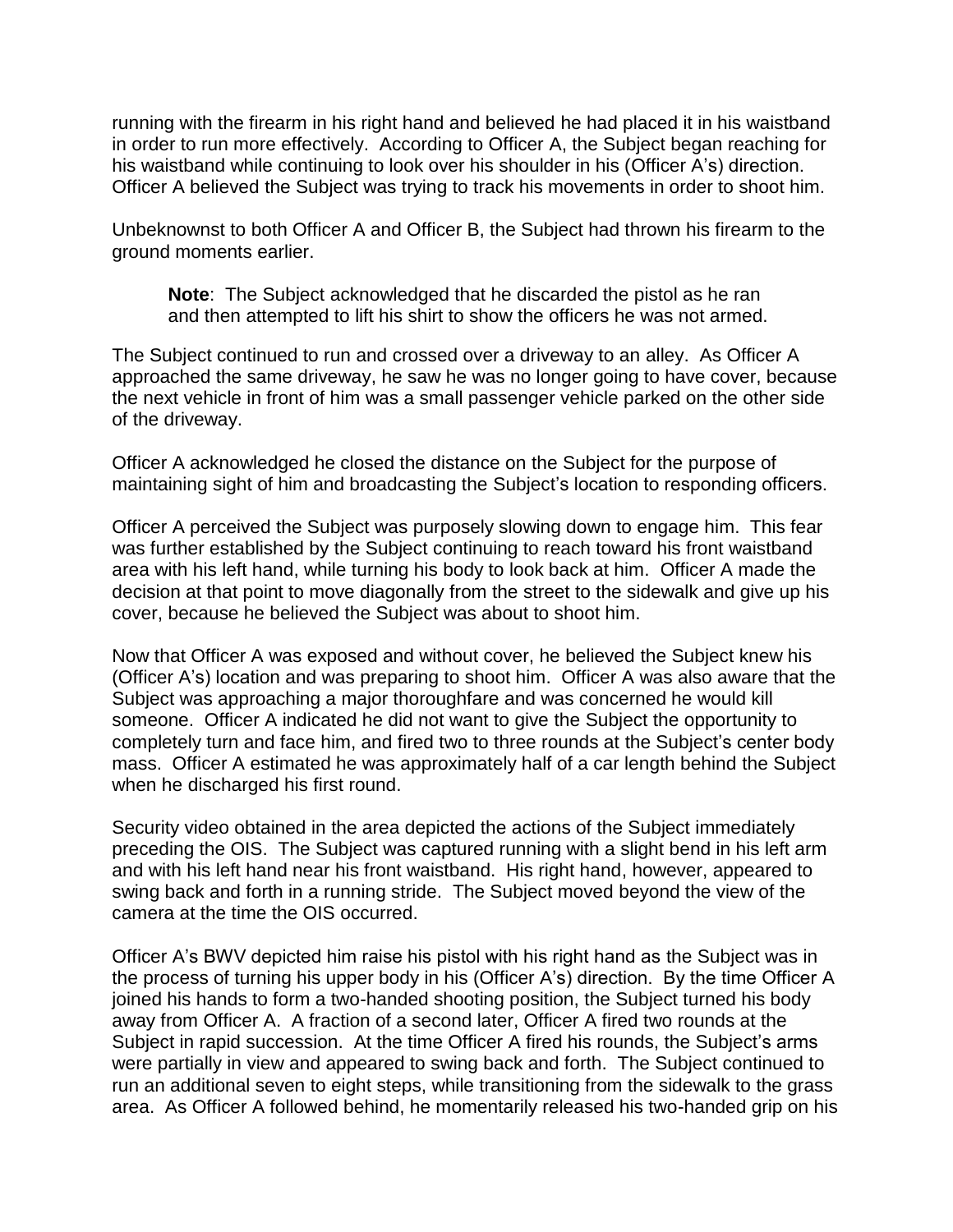running with the firearm in his right hand and believed he had placed it in his waistband in order to run more effectively. According to Officer A, the Subject began reaching for his waistband while continuing to look over his shoulder in his (Officer A's) direction. Officer A believed the Subject was trying to track his movements in order to shoot him.

Unbeknownst to both Officer A and Officer B, the Subject had thrown his firearm to the ground moments earlier.

**Note**: The Subject acknowledged that he discarded the pistol as he ran and then attempted to lift his shirt to show the officers he was not armed.

The Subject continued to run and crossed over a driveway to an alley. As Officer A approached the same driveway, he saw he was no longer going to have cover, because the next vehicle in front of him was a small passenger vehicle parked on the other side of the driveway.

Officer A acknowledged he closed the distance on the Subject for the purpose of maintaining sight of him and broadcasting the Subject's location to responding officers.

Officer A perceived the Subject was purposely slowing down to engage him. This fear was further established by the Subject continuing to reach toward his front waistband area with his left hand, while turning his body to look back at him. Officer A made the decision at that point to move diagonally from the street to the sidewalk and give up his cover, because he believed the Subject was about to shoot him.

Now that Officer A was exposed and without cover, he believed the Subject knew his (Officer A's) location and was preparing to shoot him. Officer A was also aware that the Subject was approaching a major thoroughfare and was concerned he would kill someone. Officer A indicated he did not want to give the Subject the opportunity to completely turn and face him, and fired two to three rounds at the Subject's center body mass. Officer A estimated he was approximately half of a car length behind the Subject when he discharged his first round.

Security video obtained in the area depicted the actions of the Subject immediately preceding the OIS. The Subject was captured running with a slight bend in his left arm and with his left hand near his front waistband. His right hand, however, appeared to swing back and forth in a running stride. The Subject moved beyond the view of the camera at the time the OIS occurred.

Officer A's BWV depicted him raise his pistol with his right hand as the Subject was in the process of turning his upper body in his (Officer A's) direction. By the time Officer A joined his hands to form a two-handed shooting position, the Subject turned his body away from Officer A. A fraction of a second later, Officer A fired two rounds at the Subject in rapid succession. At the time Officer A fired his rounds, the Subject's arms were partially in view and appeared to swing back and forth. The Subject continued to run an additional seven to eight steps, while transitioning from the sidewalk to the grass area. As Officer A followed behind, he momentarily released his two-handed grip on his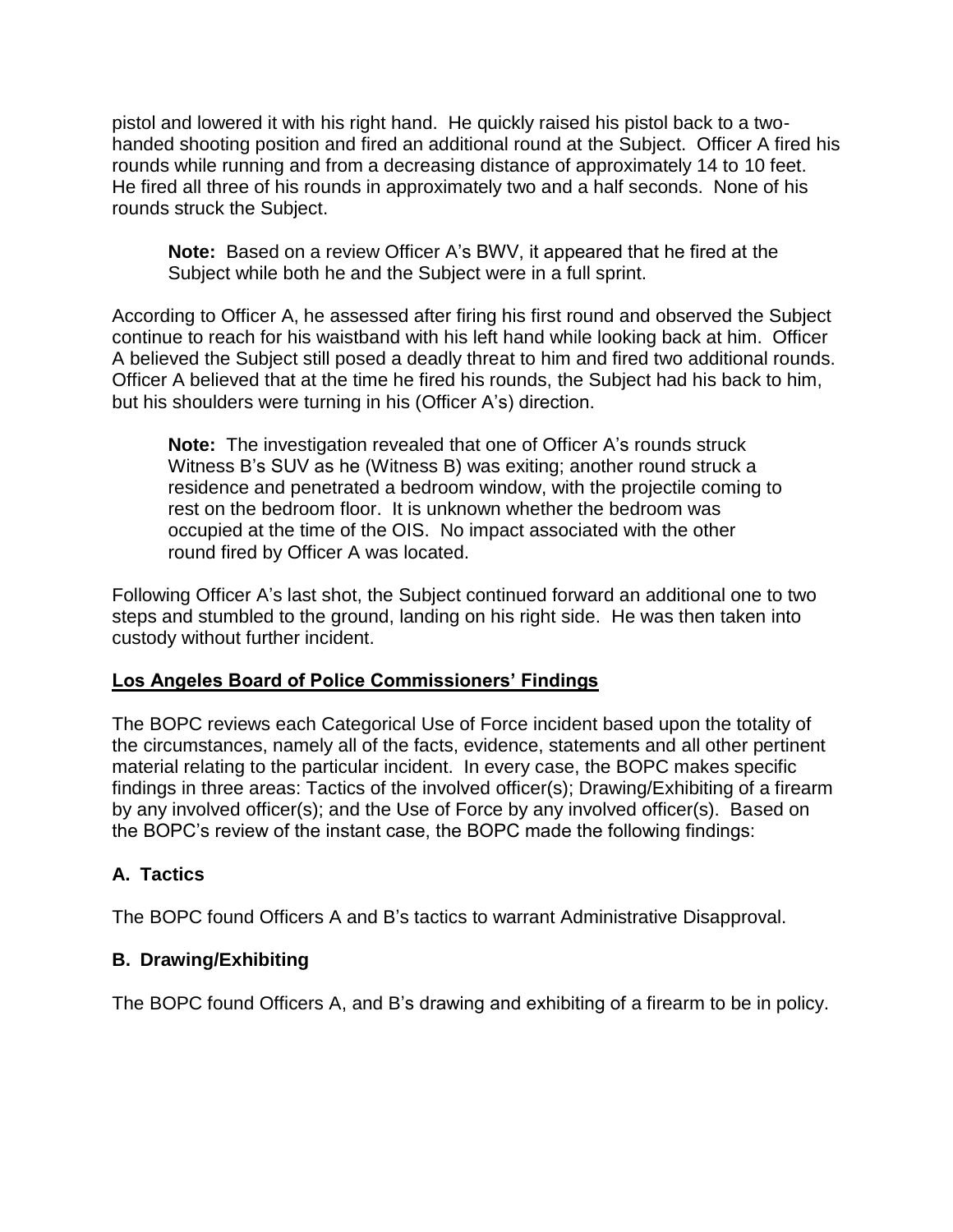pistol and lowered it with his right hand. He quickly raised his pistol back to a twohanded shooting position and fired an additional round at the Subject. Officer A fired his rounds while running and from a decreasing distance of approximately 14 to 10 feet. He fired all three of his rounds in approximately two and a half seconds. None of his rounds struck the Subject.

**Note:** Based on a review Officer A's BWV, it appeared that he fired at the Subject while both he and the Subject were in a full sprint.

According to Officer A, he assessed after firing his first round and observed the Subject continue to reach for his waistband with his left hand while looking back at him. Officer A believed the Subject still posed a deadly threat to him and fired two additional rounds. Officer A believed that at the time he fired his rounds, the Subject had his back to him, but his shoulders were turning in his (Officer A's) direction.

**Note:** The investigation revealed that one of Officer A's rounds struck Witness B's SUV as he (Witness B) was exiting; another round struck a residence and penetrated a bedroom window, with the projectile coming to rest on the bedroom floor. It is unknown whether the bedroom was occupied at the time of the OIS. No impact associated with the other round fired by Officer A was located.

Following Officer A's last shot, the Subject continued forward an additional one to two steps and stumbled to the ground, landing on his right side. He was then taken into custody without further incident.

# **Los Angeles Board of Police Commissioners' Findings**

The BOPC reviews each Categorical Use of Force incident based upon the totality of the circumstances, namely all of the facts, evidence, statements and all other pertinent material relating to the particular incident. In every case, the BOPC makes specific findings in three areas: Tactics of the involved officer(s); Drawing/Exhibiting of a firearm by any involved officer(s); and the Use of Force by any involved officer(s). Based on the BOPC's review of the instant case, the BOPC made the following findings:

# **A. Tactics**

The BOPC found Officers A and B's tactics to warrant Administrative Disapproval.

# **B. Drawing/Exhibiting**

The BOPC found Officers A, and B's drawing and exhibiting of a firearm to be in policy.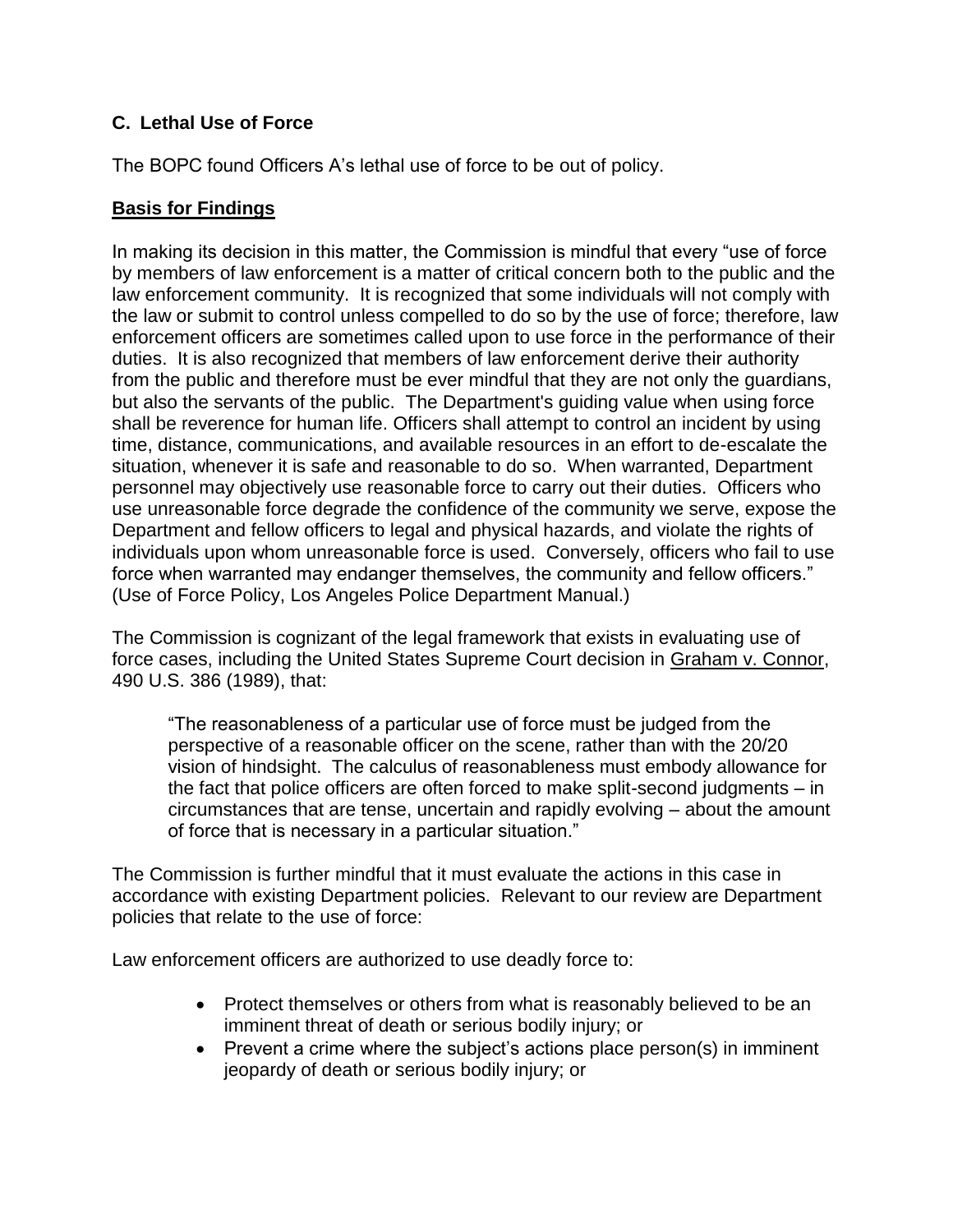# **C. Lethal Use of Force**

The BOPC found Officers A's lethal use of force to be out of policy.

## **Basis for Findings**

In making its decision in this matter, the Commission is mindful that every "use of force by members of law enforcement is a matter of critical concern both to the public and the law enforcement community. It is recognized that some individuals will not comply with the law or submit to control unless compelled to do so by the use of force; therefore, law enforcement officers are sometimes called upon to use force in the performance of their duties. It is also recognized that members of law enforcement derive their authority from the public and therefore must be ever mindful that they are not only the guardians, but also the servants of the public. The Department's guiding value when using force shall be reverence for human life. Officers shall attempt to control an incident by using time, distance, communications, and available resources in an effort to de-escalate the situation, whenever it is safe and reasonable to do so. When warranted, Department personnel may objectively use reasonable force to carry out their duties. Officers who use unreasonable force degrade the confidence of the community we serve, expose the Department and fellow officers to legal and physical hazards, and violate the rights of individuals upon whom unreasonable force is used. Conversely, officers who fail to use force when warranted may endanger themselves, the community and fellow officers." (Use of Force Policy, Los Angeles Police Department Manual.)

The Commission is cognizant of the legal framework that exists in evaluating use of force cases, including the United States Supreme Court decision in Graham v. Connor, 490 U.S. 386 (1989), that:

"The reasonableness of a particular use of force must be judged from the perspective of a reasonable officer on the scene, rather than with the 20/20 vision of hindsight. The calculus of reasonableness must embody allowance for the fact that police officers are often forced to make split-second judgments – in circumstances that are tense, uncertain and rapidly evolving – about the amount of force that is necessary in a particular situation."

The Commission is further mindful that it must evaluate the actions in this case in accordance with existing Department policies. Relevant to our review are Department policies that relate to the use of force:

Law enforcement officers are authorized to use deadly force to:

- Protect themselves or others from what is reasonably believed to be an imminent threat of death or serious bodily injury; or
- Prevent a crime where the subject's actions place person(s) in imminent jeopardy of death or serious bodily injury; or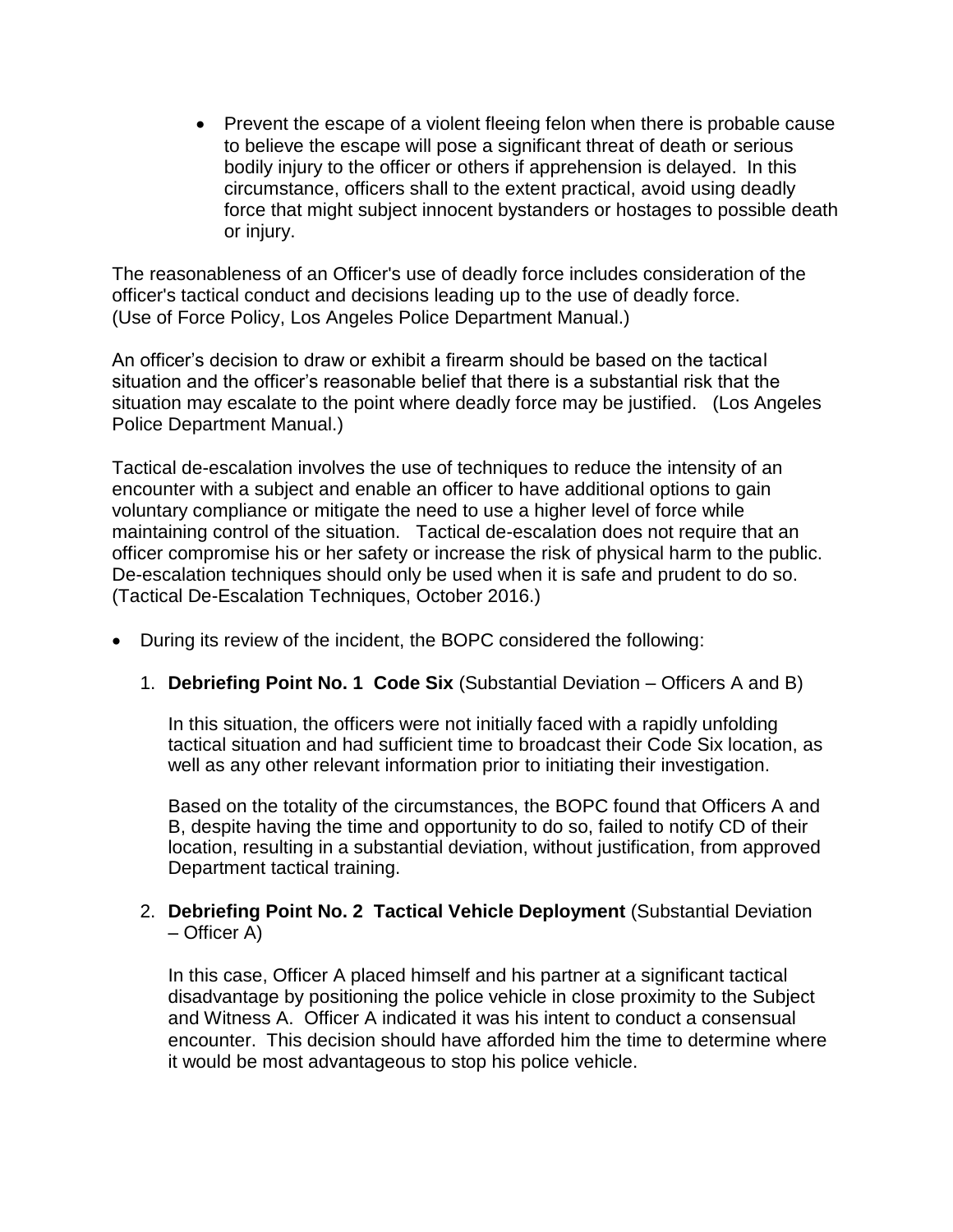• Prevent the escape of a violent fleeing felon when there is probable cause to believe the escape will pose a significant threat of death or serious bodily injury to the officer or others if apprehension is delayed. In this circumstance, officers shall to the extent practical, avoid using deadly force that might subject innocent bystanders or hostages to possible death or injury.

The reasonableness of an Officer's use of deadly force includes consideration of the officer's tactical conduct and decisions leading up to the use of deadly force. (Use of Force Policy, Los Angeles Police Department Manual.)

An officer's decision to draw or exhibit a firearm should be based on the tactical situation and the officer's reasonable belief that there is a substantial risk that the situation may escalate to the point where deadly force may be justified. (Los Angeles Police Department Manual.)

Tactical de-escalation involves the use of techniques to reduce the intensity of an encounter with a subject and enable an officer to have additional options to gain voluntary compliance or mitigate the need to use a higher level of force while maintaining control of the situation. Tactical de-escalation does not require that an officer compromise his or her safety or increase the risk of physical harm to the public. De-escalation techniques should only be used when it is safe and prudent to do so. (Tactical De-Escalation Techniques, October 2016.)

- During its review of the incident, the BOPC considered the following:
	- 1. **Debriefing Point No. 1 Code Six** (Substantial Deviation Officers A and B)

In this situation, the officers were not initially faced with a rapidly unfolding tactical situation and had sufficient time to broadcast their Code Six location, as well as any other relevant information prior to initiating their investigation.

Based on the totality of the circumstances, the BOPC found that Officers A and B, despite having the time and opportunity to do so, failed to notify CD of their location, resulting in a substantial deviation, without justification, from approved Department tactical training.

## 2. **Debriefing Point No. 2 Tactical Vehicle Deployment** (Substantial Deviation – Officer A)

In this case, Officer A placed himself and his partner at a significant tactical disadvantage by positioning the police vehicle in close proximity to the Subject and Witness A. Officer A indicated it was his intent to conduct a consensual encounter. This decision should have afforded him the time to determine where it would be most advantageous to stop his police vehicle.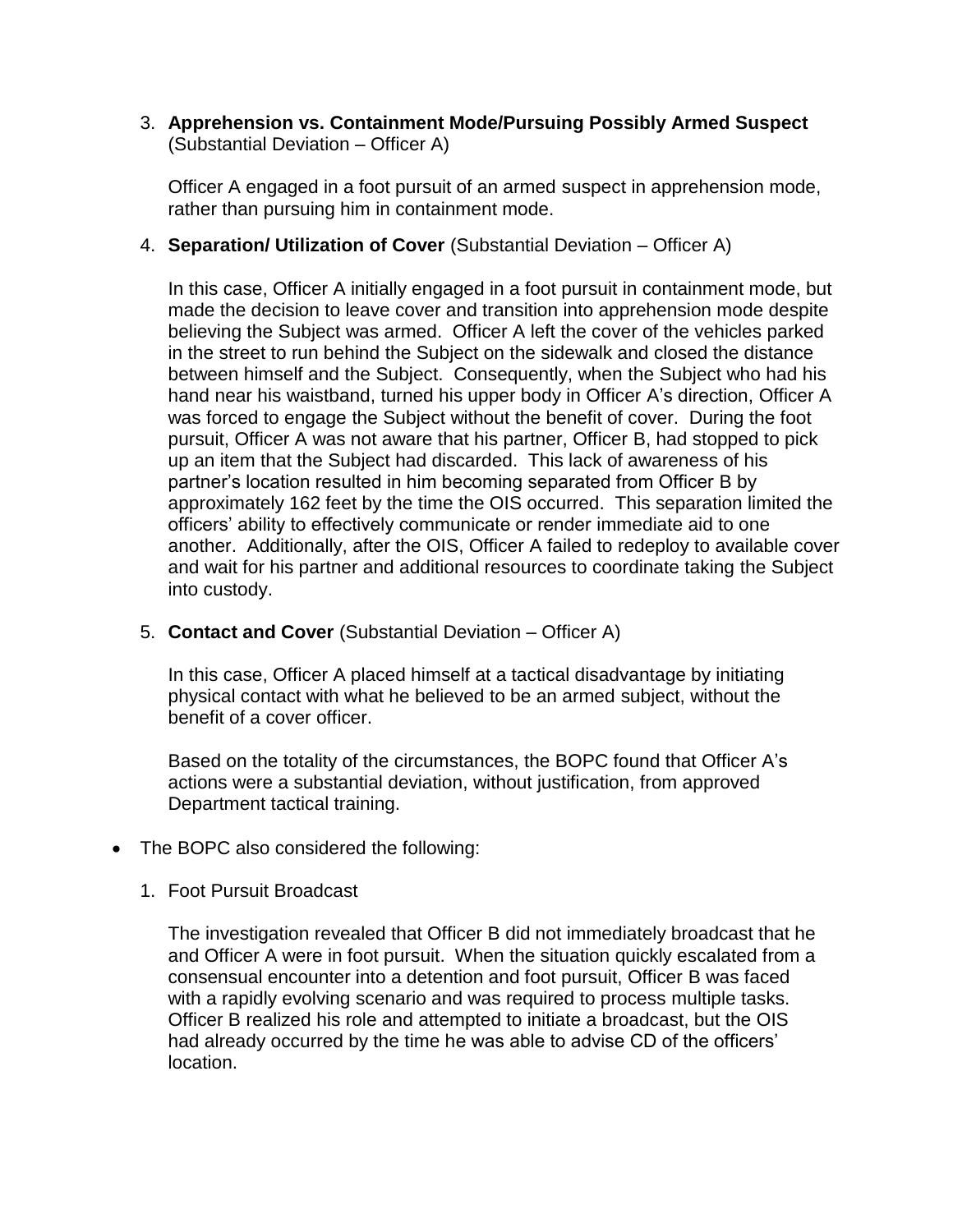3. **Apprehension vs. Containment Mode/Pursuing Possibly Armed Suspect**  (Substantial Deviation – Officer A)

Officer A engaged in a foot pursuit of an armed suspect in apprehension mode, rather than pursuing him in containment mode.

4. **Separation/ Utilization of Cover** (Substantial Deviation – Officer A)

In this case, Officer A initially engaged in a foot pursuit in containment mode, but made the decision to leave cover and transition into apprehension mode despite believing the Subject was armed. Officer A left the cover of the vehicles parked in the street to run behind the Subject on the sidewalk and closed the distance between himself and the Subject. Consequently, when the Subject who had his hand near his waistband, turned his upper body in Officer A's direction, Officer A was forced to engage the Subject without the benefit of cover. During the foot pursuit, Officer A was not aware that his partner, Officer B, had stopped to pick up an item that the Subject had discarded. This lack of awareness of his partner's location resulted in him becoming separated from Officer B by approximately 162 feet by the time the OIS occurred. This separation limited the officers' ability to effectively communicate or render immediate aid to one another. Additionally, after the OIS, Officer A failed to redeploy to available cover and wait for his partner and additional resources to coordinate taking the Subject into custody.

5. **Contact and Cover** (Substantial Deviation – Officer A)

In this case, Officer A placed himself at a tactical disadvantage by initiating physical contact with what he believed to be an armed subject, without the benefit of a cover officer.

Based on the totality of the circumstances, the BOPC found that Officer A's actions were a substantial deviation, without justification, from approved Department tactical training.

- The BOPC also considered the following:
	- 1. Foot Pursuit Broadcast

The investigation revealed that Officer B did not immediately broadcast that he and Officer A were in foot pursuit. When the situation quickly escalated from a consensual encounter into a detention and foot pursuit, Officer B was faced with a rapidly evolving scenario and was required to process multiple tasks. Officer B realized his role and attempted to initiate a broadcast, but the OIS had already occurred by the time he was able to advise CD of the officers' location.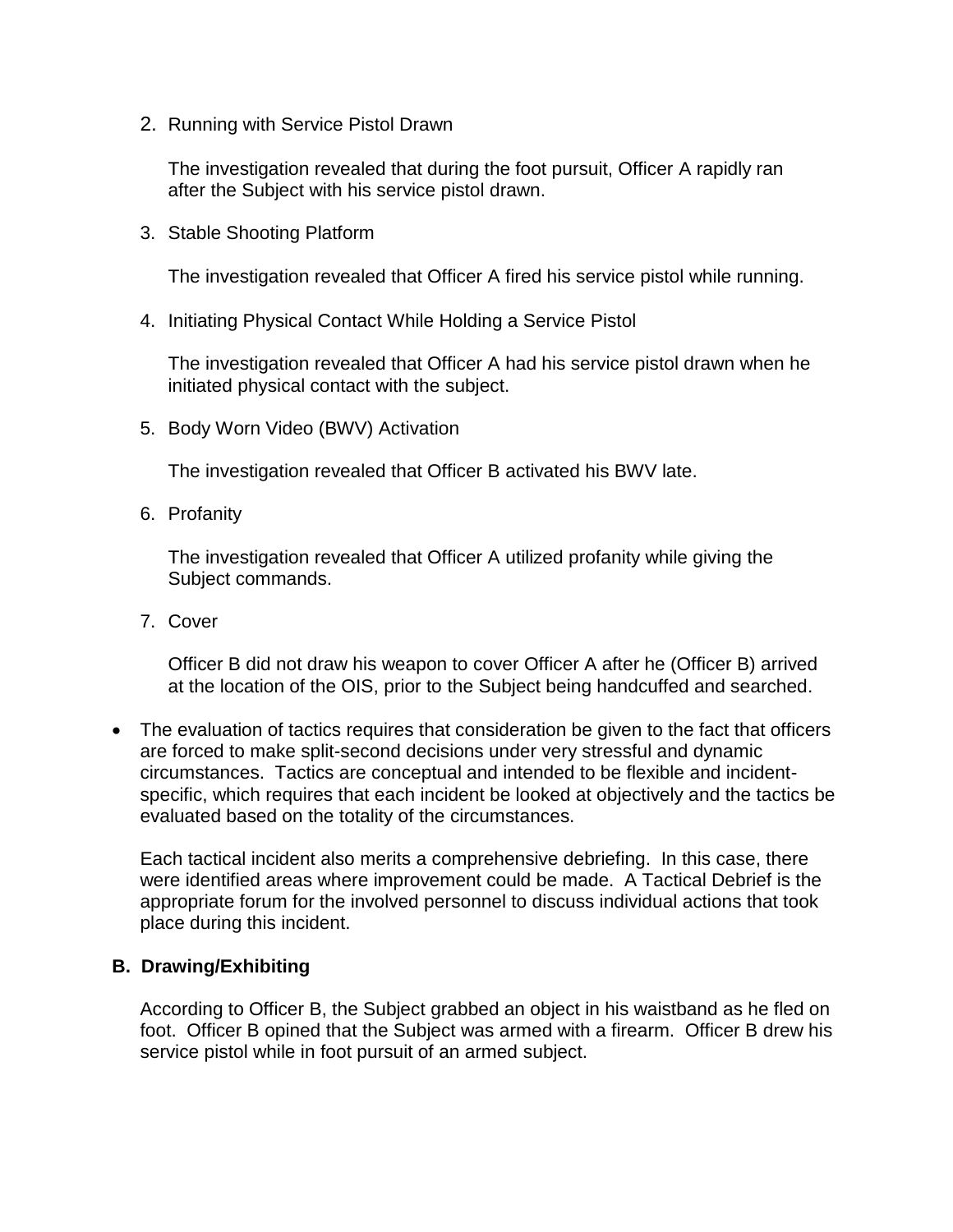2. Running with Service Pistol Drawn

The investigation revealed that during the foot pursuit, Officer A rapidly ran after the Subject with his service pistol drawn.

3. Stable Shooting Platform

The investigation revealed that Officer A fired his service pistol while running.

4. Initiating Physical Contact While Holding a Service Pistol

The investigation revealed that Officer A had his service pistol drawn when he initiated physical contact with the subject.

5. Body Worn Video (BWV) Activation

The investigation revealed that Officer B activated his BWV late.

6. Profanity

The investigation revealed that Officer A utilized profanity while giving the Subject commands.

7. Cover

Officer B did not draw his weapon to cover Officer A after he (Officer B) arrived at the location of the OIS, prior to the Subject being handcuffed and searched.

• The evaluation of tactics requires that consideration be given to the fact that officers are forced to make split-second decisions under very stressful and dynamic circumstances. Tactics are conceptual and intended to be flexible and incidentspecific, which requires that each incident be looked at objectively and the tactics be evaluated based on the totality of the circumstances.

Each tactical incident also merits a comprehensive debriefing. In this case, there were identified areas where improvement could be made. A Tactical Debrief is the appropriate forum for the involved personnel to discuss individual actions that took place during this incident.

### **B. Drawing/Exhibiting**

According to Officer B, the Subject grabbed an object in his waistband as he fled on foot. Officer B opined that the Subject was armed with a firearm. Officer B drew his service pistol while in foot pursuit of an armed subject.